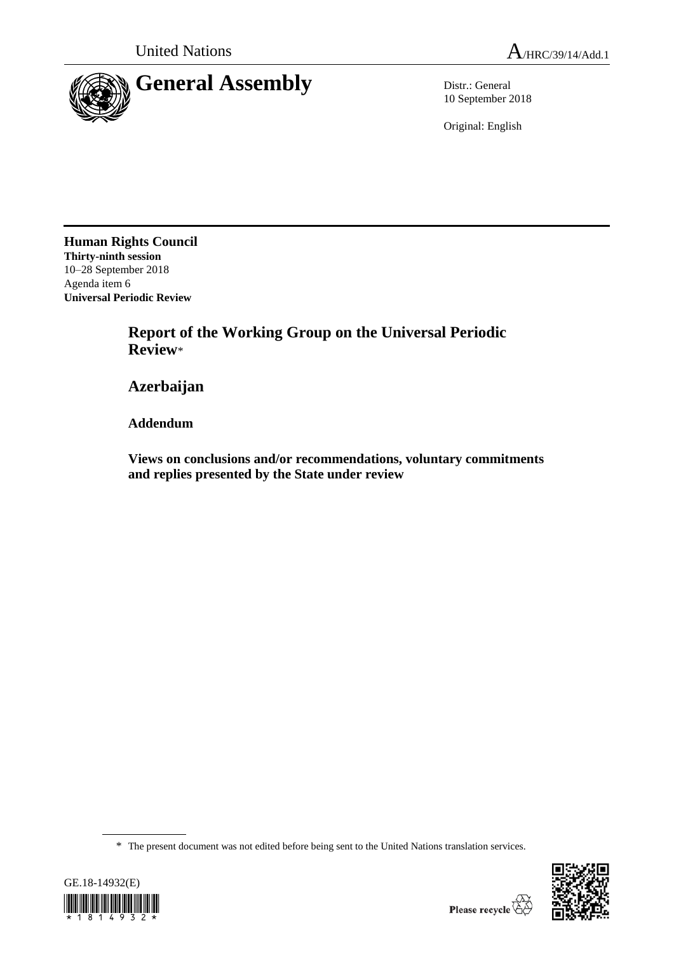

10 September 2018

Original: English

**Human Rights Council Thirty-ninth session** 10–28 September 2018 Agenda item 6 **Universal Periodic Review**

> **Report of the Working Group on the Universal Periodic Review**\*

**Azerbaijan**

**Addendum**

**Views on conclusions and/or recommendations, voluntary commitments and replies presented by the State under review**

\* The present document was not edited before being sent to the United Nations translation services.



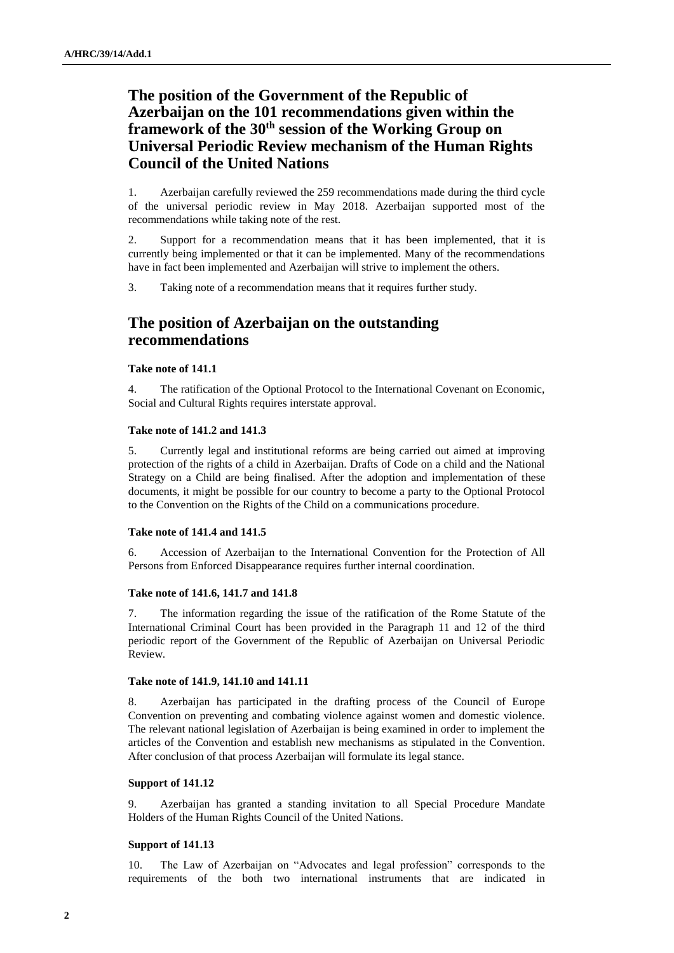# **The position of the Government of the Republic of Azerbaijan on the 101 recommendations given within the framework of the 30th session of the Working Group on Universal Periodic Review mechanism of the Human Rights Council of the United Nations**

1. Azerbaijan carefully reviewed the 259 recommendations made during the third cycle of the universal periodic review in May 2018. Azerbaijan supported most of the recommendations while taking note of the rest.

2. Support for a recommendation means that it has been implemented, that it is currently being implemented or that it can be implemented. Many of the recommendations have in fact been implemented and Azerbaijan will strive to implement the others.

3. Taking note of a recommendation means that it requires further study.

# **The position of Azerbaijan on the outstanding recommendations**

# **Take note of 141.1**

4. The ratification of the Optional Protocol to the International Covenant on Economic, Social and Cultural Rights requires interstate approval.

# **Take note of 141.2 and 141.3**

5. Currently legal and institutional reforms are being carried out aimed at improving protection of the rights of a child in Azerbaijan. Drafts of Code on a child and the National Strategy on a Child are being finalised. After the adoption and implementation of these documents, it might be possible for our country to become a party to the Optional Protocol to the Convention on the Rights of the Child on a communications procedure.

# **Take note of 141.4 and 141.5**

6. Accession of Azerbaijan to the International Convention for the Protection of All Persons from Enforced Disappearance requires further internal coordination.

# **Take note of 141.6, 141.7 and 141.8**

7. The information regarding the issue of the ratification of the Rome Statute of the International Criminal Court has been provided in the Paragraph 11 and 12 of the third periodic report of the Government of the Republic of Azerbaijan on Universal Periodic Review.

#### **Take note of 141.9, 141.10 and 141.11**

8. Azerbaijan has participated in the drafting process of the Council of Europe Convention on preventing and combating violence against women and domestic violence. The relevant national legislation of Azerbaijan is being examined in order to implement the articles of the Convention and establish new mechanisms as stipulated in the Convention. After conclusion of that process Azerbaijan will formulate its legal stance.

# **Support of 141.12**

9. Azerbaijan has granted a standing invitation to all Special Procedure Mandate Holders of the Human Rights Council of the United Nations.

#### **Support of 141.13**

10. The Law of Azerbaijan on "Advocates and legal profession" corresponds to the requirements of the both two international instruments that are indicated in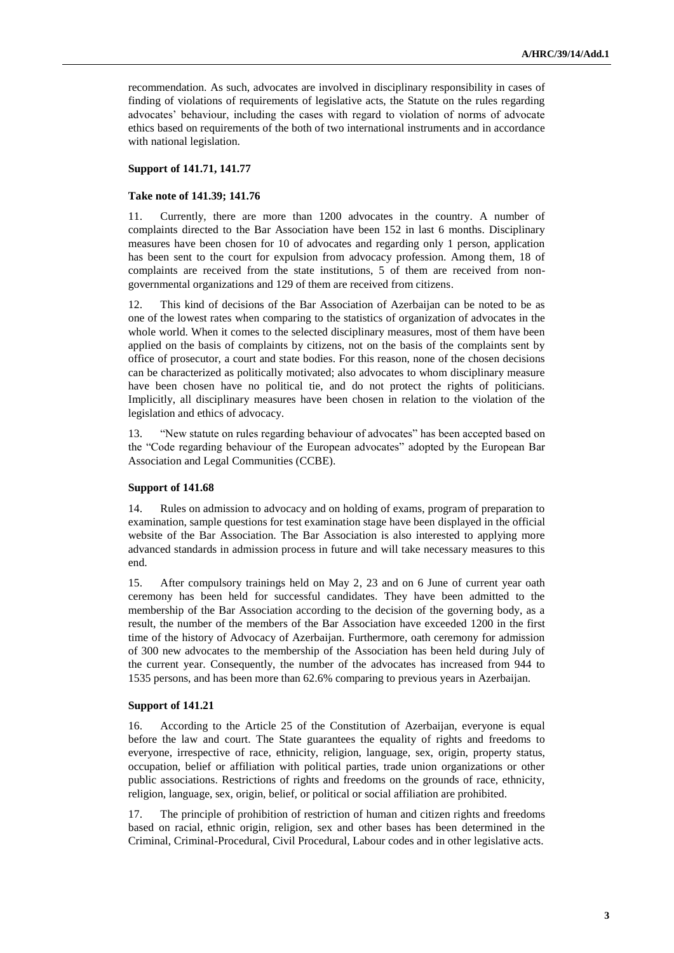recommendation. As such, advocates are involved in disciplinary responsibility in cases of finding of violations of requirements of legislative acts, the Statute on the rules regarding advocates' behaviour, including the cases with regard to violation of norms of advocate ethics based on requirements of the both of two international instruments and in accordance with national legislation.

# **Support of 141.71, 141.77**

#### **Take note of 141.39; 141.76**

11. Currently, there are more than 1200 advocates in the country. A number of complaints directed to the Bar Association have been 152 in last 6 months. Disciplinary measures have been chosen for 10 of advocates and regarding only 1 person, application has been sent to the court for expulsion from advocacy profession. Among them, 18 of complaints are received from the state institutions, 5 of them are received from nongovernmental organizations and 129 of them are received from citizens.

12. This kind of decisions of the Bar Association of Azerbaijan can be noted to be as one of the lowest rates when comparing to the statistics of organization of advocates in the whole world. When it comes to the selected disciplinary measures, most of them have been applied on the basis of complaints by citizens, not on the basis of the complaints sent by office of prosecutor, a court and state bodies. For this reason, none of the chosen decisions can be characterized as politically motivated; also advocates to whom disciplinary measure have been chosen have no political tie, and do not protect the rights of politicians. Implicitly, all disciplinary measures have been chosen in relation to the violation of the legislation and ethics of advocacy.

13. "New statute on rules regarding behaviour of advocates" has been accepted based on the "Code regarding behaviour of the European advocates" adopted by the European Bar Association and Legal Communities (CCBE).

#### **Support of 141.68**

14. Rules on admission to advocacy and on holding of exams, program of preparation to examination, sample questions for test examination stage have been displayed in the official website of the Bar Association. The Bar Association is also interested to applying more advanced standards in admission process in future and will take necessary measures to this end.

15. After compulsory trainings held on May 2, 23 and on 6 June of current year oath ceremony has been held for successful candidates. They have been admitted to the membership of the Bar Association according to the decision of the governing body, as a result, the number of the members of the Bar Association have exceeded 1200 in the first time of the history of Advocacy of Azerbaijan. Furthermore, oath ceremony for admission of 300 new advocates to the membership of the Association has been held during July of the current year. Consequently, the number of the advocates has increased from 944 to 1535 persons, and has been more than 62.6% comparing to previous years in Azerbaijan.

#### **Support of 141.21**

16. According to the Article 25 of the Constitution of Azerbaijan, everyone is equal before the law and court. The State guarantees the equality of rights and freedoms to everyone, irrespective of race, ethnicity, religion, language, sex, origin, property status, occupation, belief or affiliation with political parties, trade union organizations or other public associations. Restrictions of rights and freedoms on the grounds of race, ethnicity, religion, language, sex, origin, belief, or political or social affiliation are prohibited.

17. The principle of prohibition of restriction of human and citizen rights and freedoms based on racial, ethnic origin, religion, sex and other bases has been determined in the Criminal, Criminal-Procedural, Civil Procedural, Labour codes and in other legislative acts.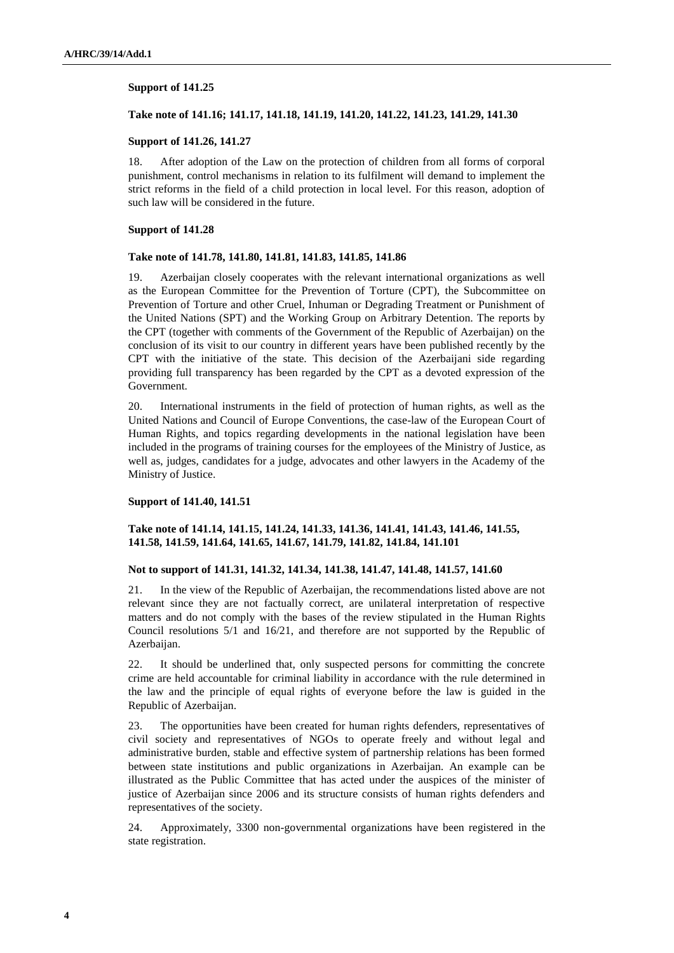# **Support of 141.25**

# **Take note of 141.16; 141.17, 141.18, 141.19, 141.20, 141.22, 141.23, 141.29, 141.30**

# **Support of 141.26, 141.27**

18. After adoption of the Law on the protection of children from all forms of corporal punishment, control mechanisms in relation to its fulfilment will demand to implement the strict reforms in the field of a child protection in local level. For this reason, adoption of such law will be considered in the future.

# **Support of 141.28**

#### **Take note of 141.78, 141.80, 141.81, 141.83, 141.85, 141.86**

19. Azerbaijan closely cooperates with the relevant international organizations as well as the European Committee for the Prevention of Torture (CPT), the Subcommittee on Prevention of Torture and other Cruel, Inhuman or Degrading Treatment or Punishment of the United Nations (SPT) and the Working Group on Arbitrary Detention. The reports by the CPT (together with comments of the Government of the Republic of Azerbaijan) on the conclusion of its visit to our country in different years have been published recently by the CPT with the initiative of the state. This decision of the Azerbaijani side regarding providing full transparency has been regarded by the CPT as a devoted expression of the Government.

20. International instruments in the field of protection of human rights, as well as the United Nations and Council of Europe Conventions, the case-law of the European Court of Human Rights, and topics regarding developments in the national legislation have been included in the programs of training courses for the employees of the Ministry of Justice, as well as, judges, candidates for a judge, advocates and other lawyers in the Academy of the Ministry of Justice.

#### **Support of 141.40, 141.51**

# **Take note of 141.14, 141.15, 141.24, 141.33, 141.36, 141.41, 141.43, 141.46, 141.55, 141.58, 141.59, 141.64, 141.65, 141.67, 141.79, 141.82, 141.84, 141.101**

# **Not to support of 141.31, 141.32, 141.34, 141.38, 141.47, 141.48, 141.57, 141.60**

21. In the view of the Republic of Azerbaijan, the recommendations listed above are not relevant since they are not factually correct, are unilateral interpretation of respective matters and do not comply with the bases of the review stipulated in the Human Rights Council resolutions 5/1 and 16/21, and therefore are not supported by the Republic of Azerbaijan.

22. It should be underlined that, only suspected persons for committing the concrete crime are held accountable for criminal liability in accordance with the rule determined in the law and the principle of equal rights of everyone before the law is guided in the Republic of Azerbaijan.

23. The opportunities have been created for human rights defenders, representatives of civil society and representatives of NGOs to operate freely and without legal and administrative burden, stable and effective system of partnership relations has been formed between state institutions and public organizations in Azerbaijan. An example can be illustrated as the Public Committee that has acted under the auspices of the minister of justice of Azerbaijan since 2006 and its structure consists of human rights defenders and representatives of the society.

24. Approximately, 3300 non-governmental organizations have been registered in the state registration.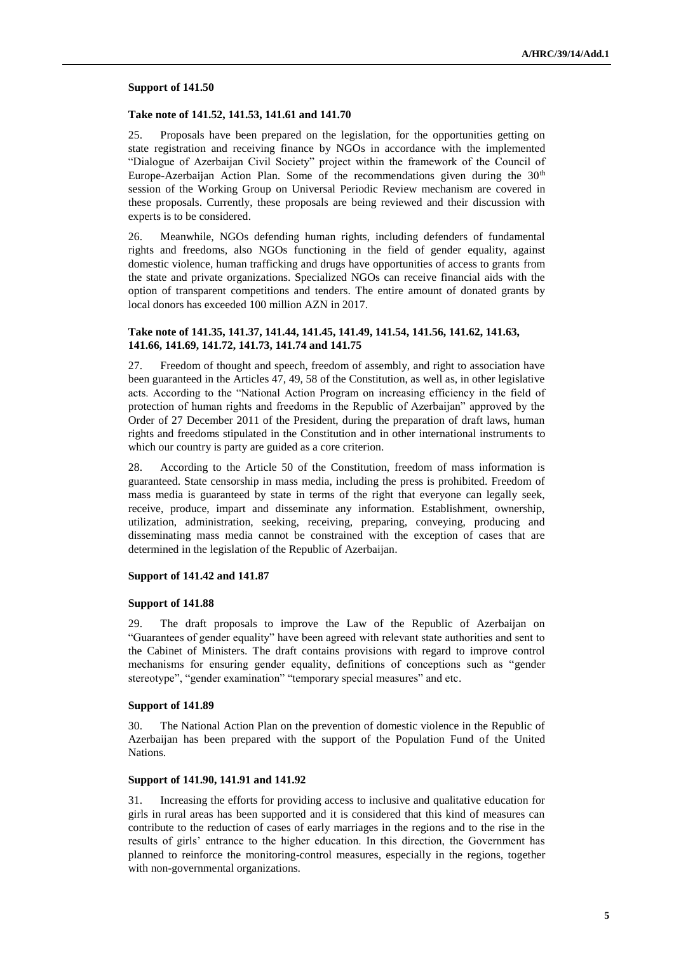#### **Support of 141.50**

#### **Take note of 141.52, 141.53, 141.61 and 141.70**

25. Proposals have been prepared on the legislation, for the opportunities getting on state registration and receiving finance by NGOs in accordance with the implemented "Dialogue of Azerbaijan Civil Society" project within the framework of the Council of Europe-Azerbaijan Action Plan. Some of the recommendations given during the  $30<sup>th</sup>$ session of the Working Group on Universal Periodic Review mechanism are covered in these proposals. Currently, these proposals are being reviewed and their discussion with experts is to be considered.

26. Meanwhile, NGOs defending human rights, including defenders of fundamental rights and freedoms, also NGOs functioning in the field of gender equality, against domestic violence, human trafficking and drugs have opportunities of access to grants from the state and private organizations. Specialized NGOs can receive financial aids with the option of transparent competitions and tenders. The entire amount of donated grants by local donors has exceeded 100 million AZN in 2017.

# **Take note of 141.35, 141.37, 141.44, 141.45, 141.49, 141.54, 141.56, 141.62, 141.63, 141.66, 141.69, 141.72, 141.73, 141.74 and 141.75**

27. Freedom of thought and speech, freedom of assembly, and right to association have been guaranteed in the Articles 47, 49, 58 of the Constitution, as well as, in other legislative acts. According to the "National Action Program on increasing efficiency in the field of protection of human rights and freedoms in the Republic of Azerbaijan" approved by the Order of 27 December 2011 of the President, during the preparation of draft laws, human rights and freedoms stipulated in the Constitution and in other international instruments to which our country is party are guided as a core criterion.

28. According to the Article 50 of the Constitution, freedom of mass information is guaranteed. State censorship in mass media, including the press is prohibited. Freedom of mass media is guaranteed by state in terms of the right that everyone can legally seek, receive, produce, impart and disseminate any information. Establishment, ownership, utilization, administration, seeking, receiving, preparing, conveying, producing and disseminating mass media cannot be constrained with the exception of cases that are determined in the legislation of the Republic of Azerbaijan.

### **Support of 141.42 and 141.87**

#### **Support of 141.88**

29. The draft proposals to improve the Law of the Republic of Azerbaijan on "Guarantees of gender equality" have been agreed with relevant state authorities and sent to the Cabinet of Ministers. The draft contains provisions with regard to improve control mechanisms for ensuring gender equality, definitions of conceptions such as "gender stereotype", "gender examination" "temporary special measures" and etc.

#### **Support of 141.89**

30. The National Action Plan on the prevention of domestic violence in the Republic of Azerbaijan has been prepared with the support of the Population Fund of the United Nations.

#### **Support of 141.90, 141.91 and 141.92**

31. Increasing the efforts for providing access to inclusive and qualitative education for girls in rural areas has been supported and it is considered that this kind of measures can contribute to the reduction of cases of early marriages in the regions and to the rise in the results of girls' entrance to the higher education. In this direction, the Government has planned to reinforce the monitoring-control measures, especially in the regions, together with non-governmental organizations.